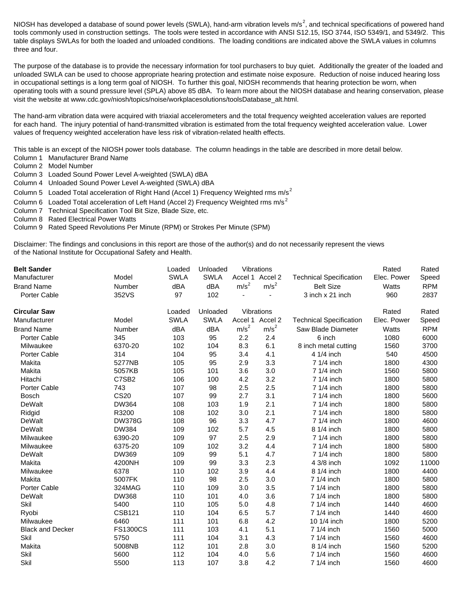NIOSH has developed a database of sound power levels (SWLA), hand-arm vibration levels m/s<sup>2</sup>, and technical specifications of powered hand tools commonly used in construction settings. The tools were tested in accordance with ANSI S12.15, ISO 3744, ISO 5349/1, and 5349/2. This table displays SWLAs for both the loaded and unloaded conditions. The loading conditions are indicated above the SWLA values in columns three and four.

The purpose of the database is to provide the necessary information for tool purchasers to buy quiet. Additionally the greater of the loaded and unloaded SWLA can be used to choose appropriate hearing protection and estimate noise exposure. Reduction of noise induced hearing loss in occupational settings is a long term goal of NIOSH. To further this goal, NIOSH recommends that hearing protection be worn, when operating tools with a sound pressure level (SPLA) above 85 dBA. To learn more about the NIOSH database and hearing conservation, please visit the website at www.cdc.gov/niosh/topics/noise/workplacesolutions/toolsDatabase\_alt.html.

The hand-arm vibration data were acquired with triaxial accelerometers and the total frequency weighted acceleration values are reported for each hand. The injury potential of hand-transmitted vibration is estimated from the total frequency weighted acceleration value. Lower values of frequency weighted acceleration have less risk of vibration-related health effects.

This table is an except of the NIOSH power tools database. The column headings in the table are described in more detail below.

- Column 1 Manufacturer Brand Name
- Column 2 Model Number
- Column 3 Loaded Sound Power Level A-weighted (SWLA) dBA
- Column 4 Unloaded Sound Power Level A-weighted (SWLA) dBA
- Column 5 Loaded Total acceleration of Right Hand (Accel 1) Frequency Weighted rms  $m/s^2$
- Column 6 Loaded Total acceleration of Left Hand (Accel 2) Frequency Weighted rms m/s<sup>2</sup>
- Column 7 Technical Specification Tool Bit Size, Blade Size, etc.
- Column 8 Rated Electrical Power Watts
- Column 9 Rated Speed Revolutions Per Minute (RPM) or Strokes Per Minute (SPM)

Disclaimer: The findings and conclusions in this report are those of the author(s) and do not necessarily represent the views of the National Institute for Occupational Safety and Health.

| <b>Belt Sander</b>      |                   | Loaded      | Unloaded    |                  | Vibrations       |                                | Rated       | Rated      |
|-------------------------|-------------------|-------------|-------------|------------------|------------------|--------------------------------|-------------|------------|
| Manufacturer            | Model             | <b>SWLA</b> | <b>SWLA</b> |                  | Accel 1 Accel 2  | <b>Technical Specification</b> | Elec. Power | Speed      |
| <b>Brand Name</b>       | Number            | dBA         | dBA         | m/s <sup>2</sup> | m/s <sup>2</sup> | <b>Belt Size</b>               | Watts       | <b>RPM</b> |
| Porter Cable            | 352VS             | 97          | 102         | $\blacksquare$   |                  | 3 inch x 21 inch               | 960         | 2837       |
| <b>Circular Saw</b>     |                   | Loaded      | Unloaded    |                  | Vibrations       |                                | Rated       | Rated      |
| Manufacturer            | Model             | <b>SWLA</b> | <b>SWLA</b> | Accel 1          | Accel 2          | <b>Technical Specification</b> | Elec. Power | Speed      |
| <b>Brand Name</b>       | Number            | dBA         | dBA         | m/s <sup>2</sup> | m/s <sup>2</sup> | Saw Blade Diameter             | Watts       | <b>RPM</b> |
| <b>Porter Cable</b>     | 345               | 103         | 95          | 2.2              | 2.4              | 6 inch                         | 1080        | 6000       |
| Milwaukee               | 6370-20           | 102         | 104         | 8.3              | 6.1              | 8 inch metal cutting           | 1560        | 3700       |
| <b>Porter Cable</b>     | 314               | 104         | 95          | 3.4              | 4.1              | 4 1/4 inch                     | 540         | 4500       |
| Makita                  | 5277NB            | 105         | 95          | 2.9              | 3.3              | 7 1/4 inch                     | 1800        | 4300       |
| Makita                  | 5057KB            | 105         | 101         | 3.6              | 3.0              | 7 1/4 inch                     | 1560        | 5800       |
| Hitachi                 | C7SB <sub>2</sub> | 106         | 100         | 4.2              | 3.2              | 7 1/4 inch                     | 1800        | 5800       |
| <b>Porter Cable</b>     | 743               | 107         | 98          | 2.5              | 2.5              | 7 1/4 inch                     | 1800        | 5800       |
| <b>Bosch</b>            | <b>CS20</b>       | 107         | 99          | 2.7              | 3.1              | 7 1/4 inch                     | 1800        | 5600       |
| <b>DeWalt</b>           | <b>DW364</b>      | 108         | 103         | 1.9              | 2.1              | 7 1/4 inch                     | 1800        | 5800       |
| Ridgid                  | R3200             | 108         | 102         | 3.0              | 2.1              | 7 1/4 inch                     | 1800        | 5800       |
| DeWalt                  | <b>DW378G</b>     | 108         | 96          | 3.3              | 4.7              | 7 1/4 inch                     | 1800        | 4600       |
| <b>DeWalt</b>           | <b>DW384</b>      | 109         | 102         | 5.7              | 4.5              | 8 1/4 inch                     | 1800        | 5800       |
| Milwaukee               | 6390-20           | 109         | 97          | 2.5              | 2.9              | 7 1/4 inch                     | 1800        | 5800       |
| Milwaukee               | 6375-20           | 109         | 102         | 3.2              | 4.4              | 7 1/4 inch                     | 1800        | 5800       |
| DeWalt                  | DW369             | 109         | 99          | 5.1              | 4.7              | 7 1/4 inch                     | 1800        | 5800       |
| Makita                  | 4200NH            | 109         | 99          | 3.3              | 2.3              | 4 3/8 inch                     | 1092        | 11000      |
| Milwaukee               | 6378              | 110         | 102         | 3.9              | 4.4              | 8 1/4 inch                     | 1800        | 4400       |
| Makita                  | 5007FK            | 110         | 98          | 2.5              | 3.0              | 7 1/4 inch                     | 1800        | 5800       |
| Porter Cable            | 324MAG            | 110         | 109         | 3.0              | 3.5              | 7 1/4 inch                     | 1800        | 5800       |
| DeWalt                  | <b>DW368</b>      | 110         | 101         | 4.0              | 3.6              | 7 1/4 inch                     | 1800        | 5800       |
| Skil                    | 5400              | 110         | 105         | 5.0              | 4.8              | 7 1/4 inch                     | 1440        | 4600       |
| Ryobi                   | <b>CSB121</b>     | 110         | 104         | 6.5              | 5.7              | 7 1/4 inch                     | 1440        | 4600       |
| Milwaukee               | 6460              | 111         | 101         | 6.8              | 4.2              | 10 1/4 inch                    | 1800        | 5200       |
| <b>Black and Decker</b> | <b>FS1300CS</b>   | 111         | 103         | 4.1              | 5.1              | 7 1/4 inch                     | 1560        | 5000       |
| Skil                    | 5750              | 111         | 104         | 3.1              | 4.3              | 7 1/4 inch                     | 1560        | 4600       |
| Makita                  | 5008NB            | 112         | 101         | 2.8              | 3.0              | 8 1/4 inch                     | 1560        | 5200       |
| Skil                    | 5600              | 112         | 104         | 4.0              | 5.6              | 7 1/4 inch                     | 1560        | 4600       |
| Skil                    | 5500              | 113         | 107         | 3.8              | 4.2              | 7 1/4 inch                     | 1560        | 4600       |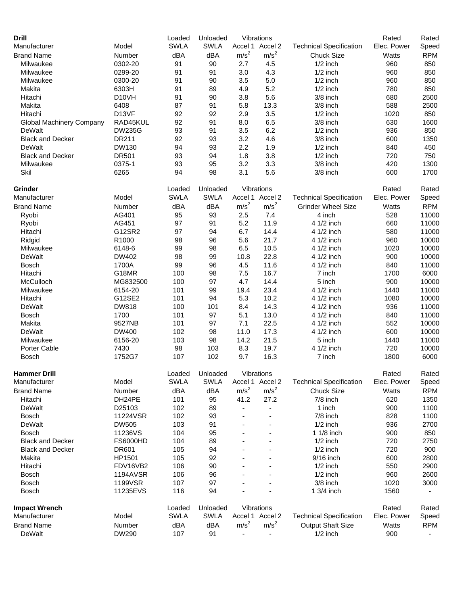| <b>Drill</b>                    |                    | Loaded      | Unloaded    |                          | Vibrations       |                                | Rated       | Rated                    |
|---------------------------------|--------------------|-------------|-------------|--------------------------|------------------|--------------------------------|-------------|--------------------------|
| Manufacturer                    | Model              | <b>SWLA</b> | <b>SWLA</b> | Accel 1                  | Accel 2          | <b>Technical Specification</b> | Elec. Power | Speed                    |
| <b>Brand Name</b>               | Number             | dBA         | dBA         | m/s <sup>2</sup>         | m/s <sup>2</sup> | <b>Chuck Size</b>              | Watts       | <b>RPM</b>               |
| Milwaukee                       | 0302-20            | 91          | 90          | 2.7                      | 4.5              | $1/2$ inch                     | 960         | 850                      |
| Milwaukee                       | 0299-20            | 91          | 91          | 3.0                      | 4.3              | $1/2$ inch                     | 960         | 850                      |
| Milwaukee                       | 0300-20            | 91          | 90          | 3.5                      | 5.0              | $1/2$ inch                     | 960         | 850                      |
| Makita                          | 6303H              | 91          | 89          | 4.9                      | 5.2              | $1/2$ inch                     | 780         | 850                      |
| Hitachi                         | D <sub>10</sub> VH | 91          | 90          | 3.8                      | 5.6              | 3/8 inch                       | 680         | 2500                     |
| Makita                          | 6408               | 87          | 91          | 5.8                      | 13.3             | 3/8 inch                       | 588         | 2500                     |
| Hitachi                         | D13VF              | 92          | 92          | 2.9                      | 3.5              | $1/2$ inch                     | 1020        | 850                      |
| <b>Global Machinery Company</b> | RAD45KUL           | 92          | 91          | 8.0                      | 6.5              | 3/8 inch                       | 630         | 1600                     |
| DeWalt                          | <b>DW235G</b>      | 93          | 91          | 3.5                      | 6.2              | $1/2$ inch                     | 936         | 850                      |
| <b>Black and Decker</b>         | <b>DR211</b>       | 92          | 93          | 3.2                      | 4.6              | 3/8 inch                       | 600         | 1350                     |
| DeWalt                          | <b>DW130</b>       | 94          | 93          | 2.2                      | 1.9              | $1/2$ inch                     | 840         | 450                      |
| <b>Black and Decker</b>         | <b>DR501</b>       | 93          | 94          | 1.8                      | 3.8              | $1/2$ inch                     | 720         | 750                      |
| Milwaukee                       | 0375-1             | 93          | 95          | 3.2                      | 3.3              | 3/8 inch                       | 420         | 1300                     |
| Skil                            | 6265               | 94          | 98          | 3.1                      | 5.6              | 3/8 inch                       | 600         | 1700                     |
| Grinder                         |                    | Loaded      | Unloaded    |                          | Vibrations       |                                | Rated       | Rated                    |
| Manufacturer                    | Model              | <b>SWLA</b> | <b>SWLA</b> | Accel 1                  | Accel 2          | <b>Technical Specification</b> | Elec. Power | Speed                    |
| <b>Brand Name</b>               | Number             | dBA         | dBA         | m/s <sup>2</sup>         | m/s <sup>2</sup> | <b>Grinder Wheel Size</b>      | Watts       | <b>RPM</b>               |
| Ryobi                           | AG401              | 95          | 93          | 2.5                      | 7.4              | 4 inch                         | 528         | 11000                    |
| Ryobi                           | AG451              | 97          | 91          | 5.2                      | 11.9             | 4 1/2 inch                     | 660         | 11000                    |
| Hitachi                         | G12SR2             | 97          | 94          | 6.7                      | 14.4             | 4 1/2 inch                     | 580         | 11000                    |
| Ridgid                          | R1000              | 98          | 96          | 5.6                      | 21.7             | 4 1/2 inch                     | 960         | 10000                    |
| Milwaukee                       | 6148-6             | 99          | 98          | 6.5                      | 10.5             | 4 1/2 inch                     | 1020        | 10000                    |
| DeWalt                          | DW402              | 98          | 99          | 10.8                     | 22.8             | 4 1/2 inch                     | 900         | 10000                    |
| <b>Bosch</b>                    | 1700A              | 99          | 96          | 4.5                      | 11.6             | 4 1/2 inch                     | 840         | 11000                    |
| Hitachi                         | G18MR              | 100         | 98          | 7.5                      | 16.7             | 7 inch                         | 1700        | 6000                     |
| McCulloch                       | MG832500           | 100         | 97          | 4.7                      | 14.4             | 5 inch                         | 900         | 10000                    |
| Milwaukee                       | 6154-20            | 101         | 99          | 19.4                     | 23.4             | 4 1/2 inch                     | 1440        | 11000                    |
| Hitachi                         | G12SE2             | 101         | 94          | 5.3                      | 10.2             | 4 1/2 inch                     | 1080        | 10000                    |
| DeWalt                          | <b>DW818</b>       | 100         | 101         | 8.4                      | 14.3             | 4 1/2 inch                     | 936         | 11000                    |
| <b>Bosch</b>                    | 1700               | 101         | 97          | 5.1                      | 13.0             | 4 1/2 inch                     | 840         | 11000                    |
| Makita                          | 9527NB             | 101         | 97          | 7.1                      | 22.5             | 4 1/2 inch                     | 552         | 10000                    |
|                                 |                    |             |             |                          |                  |                                |             |                          |
| DeWalt                          | DW400              | 102         | 98<br>98    | 11.0                     | 17.3             | 4 1/2 inch                     | 600         | 10000                    |
| Milwaukee                       | 6156-20            | 103         |             | 14.2                     | 21.5             | 5 inch<br>4 1/2 inch           | 1440        | 11000                    |
| Porter Cable                    | 7430               | 98          | 103         | 8.3                      | 19.7             |                                | 720         | 10000                    |
| <b>Bosch</b>                    | 1752G7             | 107         | 102         | 9.7                      | 16.3             | 7 inch                         | 1800        | 6000                     |
| <b>Hammer Drill</b>             |                    | Loaded      | Unloaded    |                          | Vibrations       |                                | Rated       | Rated                    |
| Manufacturer                    | Model              | <b>SWLA</b> | <b>SWLA</b> |                          | Accel 1 Accel 2  | <b>Technical Specification</b> | Elec. Power | Speed                    |
| <b>Brand Name</b>               | Number             | dBA         | dBA         | m/s <sup>2</sup>         | m/s <sup>2</sup> | <b>Chuck Size</b>              | Watts       | <b>RPM</b>               |
| Hitachi                         | DH24PE             | 101         | 95          | 41.2                     | 27.2             | 7/8 inch                       | 620         | 1350                     |
| DeWalt                          | D25103             | 102         | 89          |                          | ÷,               | 1 inch                         | 900         | 1100                     |
| Bosch                           | 11224VSR           | 102         | 93          |                          |                  | 7/8 inch                       | 828         | 1100                     |
| DeWalt                          | <b>DW505</b>       | 103         | 91          |                          |                  | $1/2$ inch                     | 936         | 2700                     |
| Bosch                           | 11236VS            | 104         | 95          |                          |                  | 1 1/8 inch                     | 900         | 850                      |
| <b>Black and Decker</b>         | <b>FS6000HD</b>    | 104         | 89          |                          |                  | $1/2$ inch                     | 720         | 2750                     |
| <b>Black and Decker</b>         | DR601              | 105         | 94          |                          |                  | $1/2$ inch                     | 720         | 900                      |
| Makita                          | HP1501             | 105         | 92          |                          |                  | 9/16 inch                      | 600         | 2800                     |
| Hitachi                         | FDV16VB2           | 106         | 90          |                          |                  | $1/2$ inch                     | 550         | 2900                     |
| <b>Bosch</b>                    | <b>1194AVSR</b>    | 106         | 96          |                          |                  | $1/2$ inch                     | 960         | 2600                     |
| <b>Bosch</b>                    | 1199VSR            | 107         | 97          |                          |                  | 3/8 inch                       | 1020        | 3000                     |
| Bosch                           | 11235EVS           | 116         | 94          |                          |                  | 1 3/4 inch                     | 1560        |                          |
| <b>Impact Wrench</b>            |                    | Loaded      | Unloaded    |                          | Vibrations       |                                | Rated       | Rated                    |
| Manufacturer                    | Model              | <b>SWLA</b> | <b>SWLA</b> |                          | Accel 1 Accel 2  | <b>Technical Specification</b> | Elec. Power | Speed                    |
| <b>Brand Name</b>               | Number             | dBA         | dBA         | m/s <sup>2</sup>         | m/s <sup>2</sup> | Output Shaft Size              | Watts       | <b>RPM</b>               |
| DeWalt                          | <b>DW290</b>       | 107         | 91          | $\overline{\phantom{0}}$ |                  | $1/2$ inch                     | 900         | $\overline{\phantom{a}}$ |